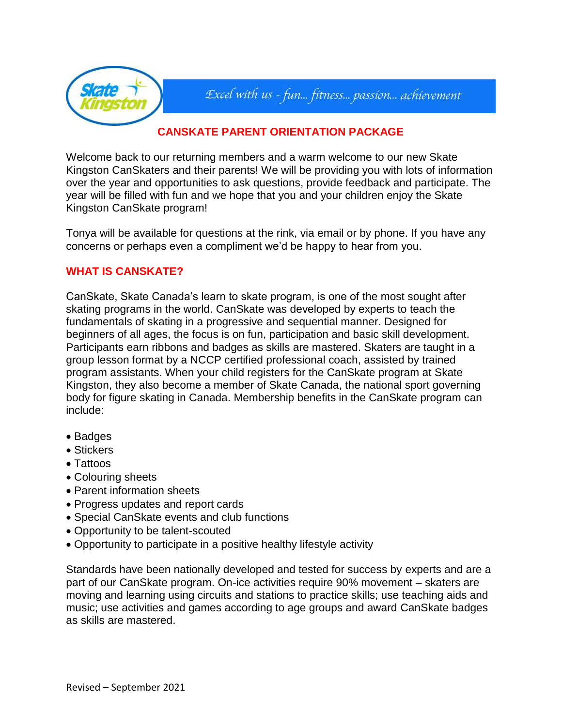

# Excel with us - fun... fitness... passion... achievement

# **CANSKATE PARENT ORIENTATION PACKAGE**

Welcome back to our returning members and a warm welcome to our new Skate Kingston CanSkaters and their parents! We will be providing you with lots of information over the year and opportunities to ask questions, provide feedback and participate. The year will be filled with fun and we hope that you and your children enjoy the Skate Kingston CanSkate program!

Tonya will be available for questions at the rink, via email or by phone. If you have any concerns or perhaps even a compliment we'd be happy to hear from you.

# **WHAT IS CANSKATE?**

CanSkate, Skate Canada's learn to skate program, is one of the most sought after skating programs in the world. CanSkate was developed by experts to teach the fundamentals of skating in a progressive and sequential manner. Designed for beginners of all ages, the focus is on fun, participation and basic skill development. Participants earn ribbons and badges as skills are mastered. Skaters are taught in a group lesson format by a NCCP certified professional coach, assisted by trained program assistants. When your child registers for the CanSkate program at Skate Kingston, they also become a member of Skate Canada, the national sport governing body for figure skating in Canada. Membership benefits in the CanSkate program can include:

- Badges
- Stickers
- Tattoos
- Colouring sheets
- Parent information sheets
- Progress updates and report cards
- Special CanSkate events and club functions
- Opportunity to be talent-scouted
- Opportunity to participate in a positive healthy lifestyle activity

Standards have been nationally developed and tested for success by experts and are a part of our CanSkate program. On-ice activities require 90% movement – skaters are moving and learning using circuits and stations to practice skills; use teaching aids and music; use activities and games according to age groups and award CanSkate badges as skills are mastered.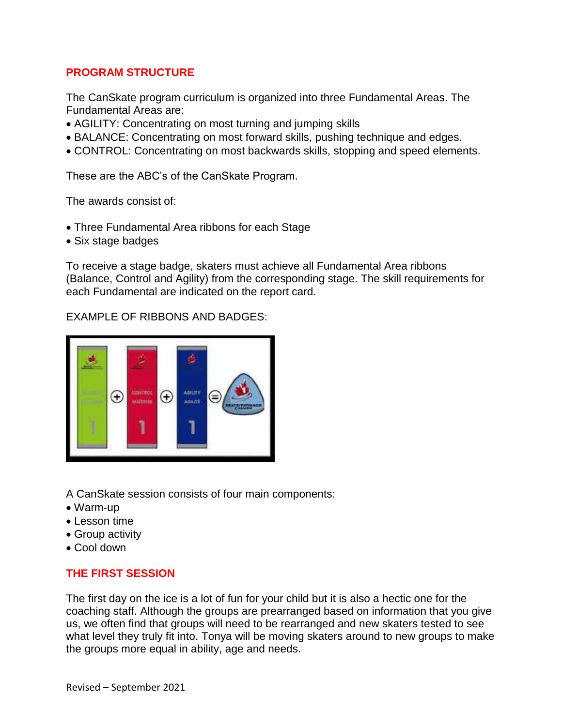# **PROGRAM STRUCTURE**

The CanSkate program curriculum is organized into three Fundamental Areas. The Fundamental Areas are:

- AGILITY: Concentrating on most turning and jumping skills
- BALANCE: Concentrating on most forward skills, pushing technique and edges.
- CONTROL: Concentrating on most backwards skills, stopping and speed elements.

These are the ABC's of the CanSkate Program.

The awards consist of:

- Three Fundamental Area ribbons for each Stage
- Six stage badges

To receive a stage badge, skaters must achieve all Fundamental Area ribbons (Balance, Control and Agility) from the corresponding stage. The skill requirements for each Fundamental are indicated on the report card.

EXAMPLE OF RIBBONS AND BADGES:



A CanSkate session consists of four main components:

- Warm-up
- $\bullet$  Lesson time
- Group activity
- Cool down

# **THE FIRST SESSION**

The first day on the ice is a lot of fun for your child but it is also a hectic one for the coaching staff. Although the groups are prearranged based on information that you give us, we often find that groups will need to be rearranged and new skaters tested to see what level they truly fit into. Tonya will be moving skaters around to new groups to make the groups more equal in ability, age and needs.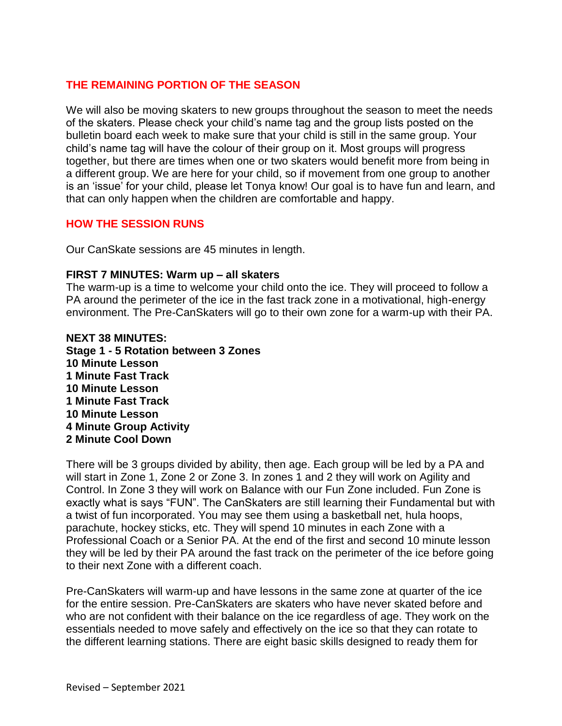# **THE REMAINING PORTION OF THE SEASON**

We will also be moving skaters to new groups throughout the season to meet the needs of the skaters. Please check your child's name tag and the group lists posted on the bulletin board each week to make sure that your child is still in the same group. Your child's name tag will have the colour of their group on it. Most groups will progress together, but there are times when one or two skaters would benefit more from being in a different group. We are here for your child, so if movement from one group to another is an 'issue' for your child, please let Tonya know! Our goal is to have fun and learn, and that can only happen when the children are comfortable and happy.

# **HOW THE SESSION RUNS**

Our CanSkate sessions are 45 minutes in length.

# **FIRST 7 MINUTES: Warm up – all skaters**

The warm-up is a time to welcome your child onto the ice. They will proceed to follow a PA around the perimeter of the ice in the fast track zone in a motivational, high-energy environment. The Pre-CanSkaters will go to their own zone for a warm-up with their PA.

# **NEXT 38 MINUTES: Stage 1 - 5 Rotation between 3 Zones 10 Minute Lesson 1 Minute Fast Track 10 Minute Lesson 1 Minute Fast Track 10 Minute Lesson 4 Minute Group Activity 2 Minute Cool Down**

There will be 3 groups divided by ability, then age. Each group will be led by a PA and will start in Zone 1, Zone 2 or Zone 3. In zones 1 and 2 they will work on Agility and Control. In Zone 3 they will work on Balance with our Fun Zone included. Fun Zone is exactly what is says "FUN". The CanSkaters are still learning their Fundamental but with a twist of fun incorporated. You may see them using a basketball net, hula hoops, parachute, hockey sticks, etc. They will spend 10 minutes in each Zone with a Professional Coach or a Senior PA. At the end of the first and second 10 minute lesson they will be led by their PA around the fast track on the perimeter of the ice before going to their next Zone with a different coach.

Pre-CanSkaters will warm-up and have lessons in the same zone at quarter of the ice for the entire session. Pre-CanSkaters are skaters who have never skated before and who are not confident with their balance on the ice regardless of age. They work on the essentials needed to move safely and effectively on the ice so that they can rotate to the different learning stations. There are eight basic skills designed to ready them for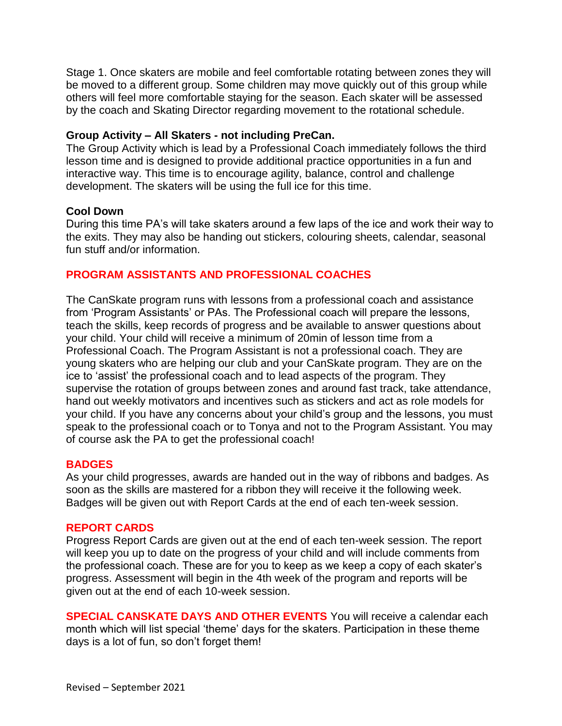Stage 1. Once skaters are mobile and feel comfortable rotating between zones they will be moved to a different group. Some children may move quickly out of this group while others will feel more comfortable staying for the season. Each skater will be assessed by the coach and Skating Director regarding movement to the rotational schedule.

### **Group Activity – All Skaters - not including PreCan.**

The Group Activity which is lead by a Professional Coach immediately follows the third lesson time and is designed to provide additional practice opportunities in a fun and interactive way. This time is to encourage agility, balance, control and challenge development. The skaters will be using the full ice for this time.

#### **Cool Down**

During this time PA's will take skaters around a few laps of the ice and work their way to the exits. They may also be handing out stickers, colouring sheets, calendar, seasonal fun stuff and/or information.

# **PROGRAM ASSISTANTS AND PROFESSIONAL COACHES**

The CanSkate program runs with lessons from a professional coach and assistance from 'Program Assistants' or PAs. The Professional coach will prepare the lessons, teach the skills, keep records of progress and be available to answer questions about your child. Your child will receive a minimum of 20min of lesson time from a Professional Coach. The Program Assistant is not a professional coach. They are young skaters who are helping our club and your CanSkate program. They are on the ice to 'assist' the professional coach and to lead aspects of the program. They supervise the rotation of groups between zones and around fast track, take attendance, hand out weekly motivators and incentives such as stickers and act as role models for your child. If you have any concerns about your child's group and the lessons, you must speak to the professional coach or to Tonya and not to the Program Assistant. You may of course ask the PA to get the professional coach!

# **BADGES**

As your child progresses, awards are handed out in the way of ribbons and badges. As soon as the skills are mastered for a ribbon they will receive it the following week. Badges will be given out with Report Cards at the end of each ten-week session.

#### **REPORT CARDS**

Progress Report Cards are given out at the end of each ten-week session. The report will keep you up to date on the progress of your child and will include comments from the professional coach. These are for you to keep as we keep a copy of each skater's progress. Assessment will begin in the 4th week of the program and reports will be given out at the end of each 10-week session.

**SPECIAL CANSKATE DAYS AND OTHER EVENTS** You will receive a calendar each month which will list special 'theme' days for the skaters. Participation in these theme days is a lot of fun, so don't forget them!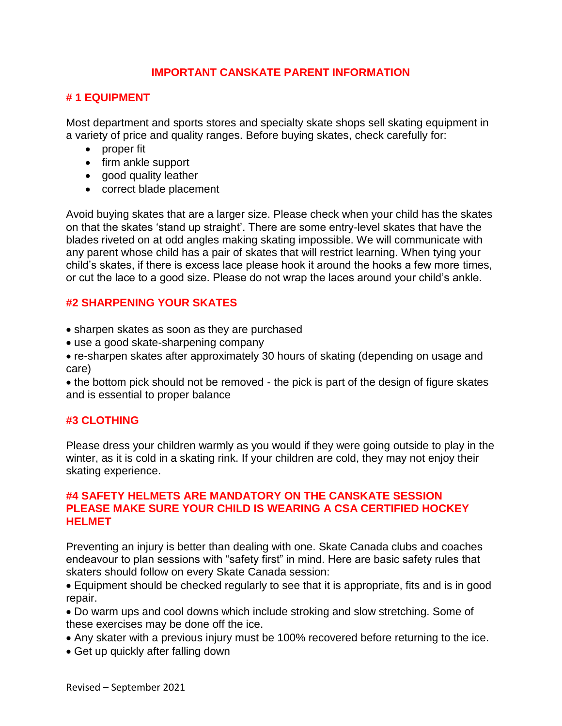# **IMPORTANT CANSKATE PARENT INFORMATION**

# **# 1 EQUIPMENT**

Most department and sports stores and specialty skate shops sell skating equipment in a variety of price and quality ranges. Before buying skates, check carefully for:

- proper fit
- firm ankle support
- good quality leather
- correct blade placement

Avoid buying skates that are a larger size. Please check when your child has the skates on that the skates 'stand up straight'. There are some entry-level skates that have the blades riveted on at odd angles making skating impossible. We will communicate with any parent whose child has a pair of skates that will restrict learning. When tying your child's skates, if there is excess lace please hook it around the hooks a few more times, or cut the lace to a good size. Please do not wrap the laces around your child's ankle.

# **#2 SHARPENING YOUR SKATES**

- sharpen skates as soon as they are purchased
- use a good skate-sharpening company
- re-sharpen skates after approximately 30 hours of skating (depending on usage and care)

 the bottom pick should not be removed - the pick is part of the design of figure skates and is essential to proper balance

# **#3 CLOTHING**

Please dress your children warmly as you would if they were going outside to play in the winter, as it is cold in a skating rink. If your children are cold, they may not enjoy their skating experience.

# **#4 SAFETY HELMETS ARE MANDATORY ON THE CANSKATE SESSION PLEASE MAKE SURE YOUR CHILD IS WEARING A CSA CERTIFIED HOCKEY HELMET**

Preventing an injury is better than dealing with one. Skate Canada clubs and coaches endeavour to plan sessions with "safety first" in mind. Here are basic safety rules that skaters should follow on every Skate Canada session:

 Equipment should be checked regularly to see that it is appropriate, fits and is in good repair.

 Do warm ups and cool downs which include stroking and slow stretching. Some of these exercises may be done off the ice.

- Any skater with a previous injury must be 100% recovered before returning to the ice.
- Get up quickly after falling down